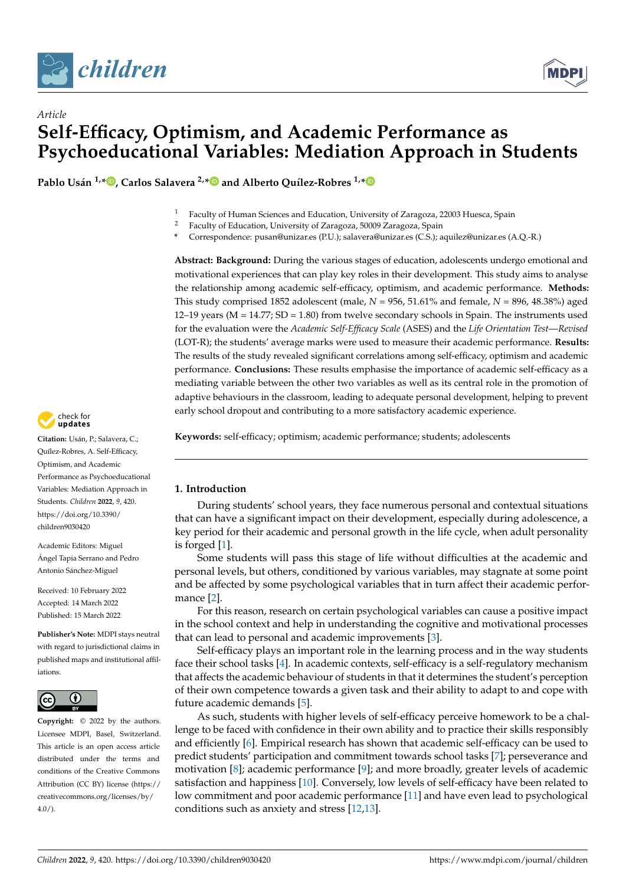



# *Article* **Self-Efficacy, Optimism, and Academic Performance as Psychoeducational Variables: Mediation Approach in Students**

**Pablo Usán 1,[\\*](https://orcid.org/0000-0003-3789-3781) , Carlos Salavera 2,[\\*](https://orcid.org/0000-0002-8072-2390) and Alberto Quílez-Robres 1,[\\*](https://orcid.org/0000-0001-8473-8114)**

- <sup>1</sup> Faculty of Human Sciences and Education, University of Zaragoza, 22003 Huesca, Spain
- <sup>2</sup> Faculty of Education, University of Zaragoza, 50009 Zaragoza, Spain
- **\*** Correspondence: pusan@unizar.es (P.U.); salavera@unizar.es (C.S.); aquilez@unizar.es (A.Q.-R.)

**Abstract: Background:** During the various stages of education, adolescents undergo emotional and motivational experiences that can play key roles in their development. This study aims to analyse the relationship among academic self-efficacy, optimism, and academic performance. **Methods:** This study comprised 1852 adolescent (male, *N* = 956, 51.61% and female, *N* = 896, 48.38%) aged  $12-19$  years ( $M = 14.77$ ;  $SD = 1.80$ ) from twelve secondary schools in Spain. The instruments used for the evaluation were the *Academic Self-Efficacy Scale* (ASES) and the *Life Orientation Test*—*Revised* (LOT-R); the students' average marks were used to measure their academic performance. **Results:** The results of the study revealed significant correlations among self-efficacy, optimism and academic performance. **Conclusions:** These results emphasise the importance of academic self-efficacy as a mediating variable between the other two variables as well as its central role in the promotion of adaptive behaviours in the classroom, leading to adequate personal development, helping to prevent early school dropout and contributing to a more satisfactory academic experience.

**Keywords:** self-efficacy; optimism; academic performance; students; adolescents

# **1. Introduction**

During students' school years, they face numerous personal and contextual situations that can have a significant impact on their development, especially during adolescence, a key period for their academic and personal growth in the life cycle, when adult personality is forged [\[1\]](#page-7-0).

Some students will pass this stage of life without difficulties at the academic and personal levels, but others, conditioned by various variables, may stagnate at some point and be affected by some psychological variables that in turn affect their academic performance [\[2\]](#page-7-1).

For this reason, research on certain psychological variables can cause a positive impact in the school context and help in understanding the cognitive and motivational processes that can lead to personal and academic improvements [\[3\]](#page-7-2).

Self-efficacy plays an important role in the learning process and in the way students face their school tasks [\[4\]](#page-7-3). In academic contexts, self-efficacy is a self-regulatory mechanism that affects the academic behaviour of students in that it determines the student's perception of their own competence towards a given task and their ability to adapt to and cope with future academic demands [\[5\]](#page-7-4).

As such, students with higher levels of self-efficacy perceive homework to be a challenge to be faced with confidence in their own ability and to practice their skills responsibly and efficiently [\[6\]](#page-7-5). Empirical research has shown that academic self-efficacy can be used to predict students' participation and commitment towards school tasks [\[7\]](#page-7-6); perseverance and motivation [\[8\]](#page-7-7); academic performance [\[9\]](#page-7-8); and more broadly, greater levels of academic satisfaction and happiness [\[10\]](#page-7-9). Conversely, low levels of self-efficacy have been related to low commitment and poor academic performance [\[11\]](#page-7-10) and have even lead to psychological conditions such as anxiety and stress [\[12,](#page-7-11)[13\]](#page-7-12).



**Citation:** Usán, P.; Salavera, C.; Quílez-Robres, A. Self-Efficacy, Optimism, and Academic Performance as Psychoeducational Variables: Mediation Approach in Students. *Children* **2022**, *9*, 420. [https://doi.org/10.3390/](https://doi.org/10.3390/children9030420) [children9030420](https://doi.org/10.3390/children9030420)

Academic Editors: Miguel Ángel Tapia Serrano and Pedro Antonio Sánchez-Miguel

Received: 10 February 2022 Accepted: 14 March 2022 Published: 15 March 2022

**Publisher's Note:** MDPI stays neutral with regard to jurisdictional claims in published maps and institutional affiliations.



**Copyright:** © 2022 by the authors. Licensee MDPI, Basel, Switzerland. This article is an open access article distributed under the terms and conditions of the Creative Commons Attribution (CC BY) license [\(https://](https://creativecommons.org/licenses/by/4.0/) [creativecommons.org/licenses/by/](https://creativecommons.org/licenses/by/4.0/)  $4.0/$ ).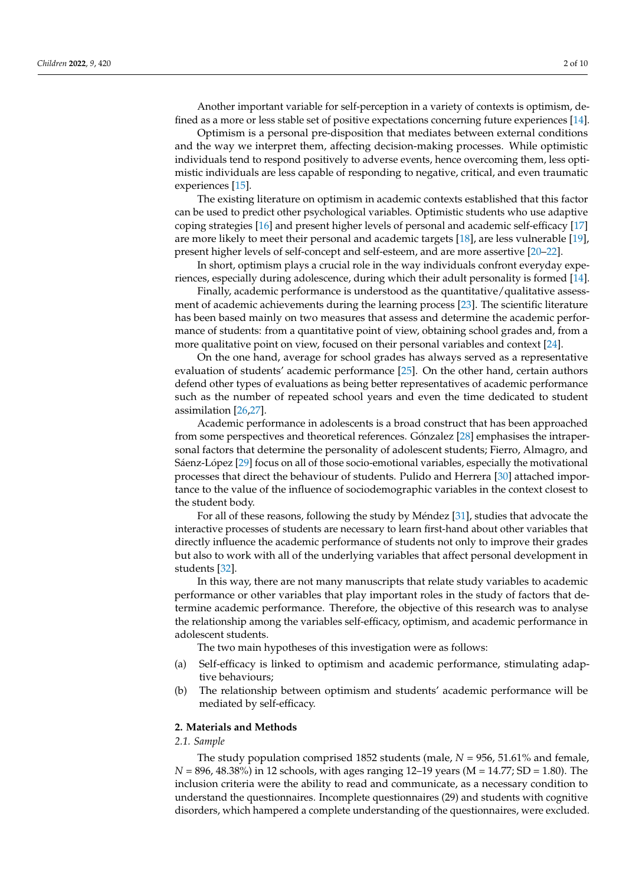Another important variable for self-perception in a variety of contexts is optimism, defined as a more or less stable set of positive expectations concerning future experiences [\[14\]](#page-7-13).

Optimism is a personal pre-disposition that mediates between external conditions and the way we interpret them, affecting decision-making processes. While optimistic individuals tend to respond positively to adverse events, hence overcoming them, less optimistic individuals are less capable of responding to negative, critical, and even traumatic experiences [\[15\]](#page-7-14).

The existing literature on optimism in academic contexts established that this factor can be used to predict other psychological variables. Optimistic students who use adaptive coping strategies [\[16\]](#page-7-15) and present higher levels of personal and academic self-efficacy [\[17\]](#page-7-16) are more likely to meet their personal and academic targets [\[18\]](#page-7-17), are less vulnerable [\[19\]](#page-7-18), present higher levels of self-concept and self-esteem, and are more assertive [\[20–](#page-7-19)[22\]](#page-7-20).

In short, optimism plays a crucial role in the way individuals confront everyday experiences, especially during adolescence, during which their adult personality is formed [\[14\]](#page-7-13).

Finally, academic performance is understood as the quantitative/qualitative assessment of academic achievements during the learning process [\[23\]](#page-7-21). The scientific literature has been based mainly on two measures that assess and determine the academic performance of students: from a quantitative point of view, obtaining school grades and, from a more qualitative point on view, focused on their personal variables and context [\[24\]](#page-7-22).

On the one hand, average for school grades has always served as a representative evaluation of students' academic performance [\[25\]](#page-7-23). On the other hand, certain authors defend other types of evaluations as being better representatives of academic performance such as the number of repeated school years and even the time dedicated to student assimilation [\[26](#page-7-24)[,27\]](#page-7-25).

Academic performance in adolescents is a broad construct that has been approached from some perspectives and theoretical references. Gónzalez [\[28\]](#page-7-26) emphasises the intrapersonal factors that determine the personality of adolescent students; Fierro, Almagro, and Sáenz-López [\[29\]](#page-7-27) focus on all of those socio-emotional variables, especially the motivational processes that direct the behaviour of students. Pulido and Herrera [\[30\]](#page-7-28) attached importance to the value of the influence of sociodemographic variables in the context closest to the student body.

For all of these reasons, following the study by Méndez [\[31\]](#page-7-29), studies that advocate the interactive processes of students are necessary to learn first-hand about other variables that directly influence the academic performance of students not only to improve their grades but also to work with all of the underlying variables that affect personal development in students [\[32\]](#page-8-0).

In this way, there are not many manuscripts that relate study variables to academic performance or other variables that play important roles in the study of factors that determine academic performance. Therefore, the objective of this research was to analyse the relationship among the variables self-efficacy, optimism, and academic performance in adolescent students.

The two main hypotheses of this investigation were as follows:

- (a) Self-efficacy is linked to optimism and academic performance, stimulating adaptive behaviours;
- (b) The relationship between optimism and students' academic performance will be mediated by self-efficacy.

#### **2. Materials and Methods**

# *2.1. Sample*

The study population comprised 1852 students (male, *N* = 956, 51.61% and female, *N* = 896, 48.38%) in 12 schools, with ages ranging 12–19 years (M = 14.77; SD = 1.80). The inclusion criteria were the ability to read and communicate, as a necessary condition to understand the questionnaires. Incomplete questionnaires (29) and students with cognitive disorders, which hampered a complete understanding of the questionnaires, were excluded.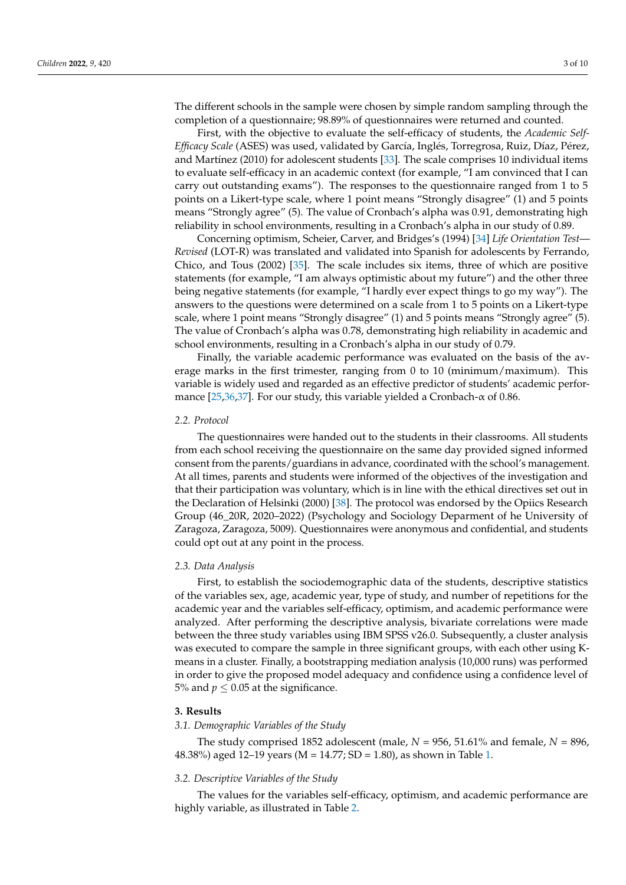The different schools in the sample were chosen by simple random sampling through the completion of a questionnaire; 98.89% of questionnaires were returned and counted.

First, with the objective to evaluate the self-efficacy of students, the *Academic Self-Efficacy Scale* (ASES) was used, validated by García, Inglés, Torregrosa, Ruiz, Díaz, Pérez, and Martínez (2010) for adolescent students [\[33\]](#page-8-1). The scale comprises 10 individual items to evaluate self-efficacy in an academic context (for example, "I am convinced that I can carry out outstanding exams"). The responses to the questionnaire ranged from 1 to 5 points on a Likert-type scale, where 1 point means "Strongly disagree" (1) and 5 points means "Strongly agree" (5). The value of Cronbach's alpha was 0.91, demonstrating high reliability in school environments, resulting in a Cronbach's alpha in our study of 0.89.

Concerning optimism, Scheier, Carver, and Bridges's (1994) [\[34\]](#page-8-2) *Life Orientation Test*— *Revised* (LOT-R) was translated and validated into Spanish for adolescents by Ferrando, Chico, and Tous (2002) [\[35\]](#page-8-3). The scale includes six items, three of which are positive statements (for example, "I am always optimistic about my future") and the other three being negative statements (for example, "I hardly ever expect things to go my way"). The answers to the questions were determined on a scale from 1 to 5 points on a Likert-type scale, where 1 point means "Strongly disagree" (1) and 5 points means "Strongly agree" (5). The value of Cronbach's alpha was 0.78, demonstrating high reliability in academic and school environments, resulting in a Cronbach's alpha in our study of 0.79.

Finally, the variable academic performance was evaluated on the basis of the average marks in the first trimester, ranging from 0 to 10 (minimum/maximum). This variable is widely used and regarded as an effective predictor of students' academic performance  $[25,36,37]$  $[25,36,37]$  $[25,36,37]$ . For our study, this variable yielded a Cronbach- $\alpha$  of 0.86.

# *2.2. Protocol*

The questionnaires were handed out to the students in their classrooms. All students from each school receiving the questionnaire on the same day provided signed informed consent from the parents/guardians in advance, coordinated with the school's management. At all times, parents and students were informed of the objectives of the investigation and that their participation was voluntary, which is in line with the ethical directives set out in the Declaration of Helsinki (2000) [\[38\]](#page-8-6). The protocol was endorsed by the Opiics Research Group (46\_20R, 2020–2022) (Psychology and Sociology Deparment of he University of Zaragoza, Zaragoza, 5009). Questionnaires were anonymous and confidential, and students could opt out at any point in the process.

#### *2.3. Data Analysis*

First, to establish the sociodemographic data of the students, descriptive statistics of the variables sex, age, academic year, type of study, and number of repetitions for the academic year and the variables self-efficacy, optimism, and academic performance were analyzed. After performing the descriptive analysis, bivariate correlations were made between the three study variables using IBM SPSS v26.0. Subsequently, a cluster analysis was executed to compare the sample in three significant groups, with each other using Kmeans in a cluster. Finally, a bootstrapping mediation analysis (10,000 runs) was performed in order to give the proposed model adequacy and confidence using a confidence level of 5% and  $p \leq 0.05$  at the significance.

#### **3. Results**

#### *3.1. Demographic Variables of the Study*

The study comprised 1852 adolescent (male,  $N = 956$ , 51.61% and female,  $N = 896$ , 48.38%) aged 12–19 years (M = 14.77; SD = 1.80), as shown in Table [1.](#page-3-0)

#### *3.2. Descriptive Variables of the Study*

The values for the variables self-efficacy, optimism, and academic performance are highly variable, as illustrated in Table [2.](#page-3-1)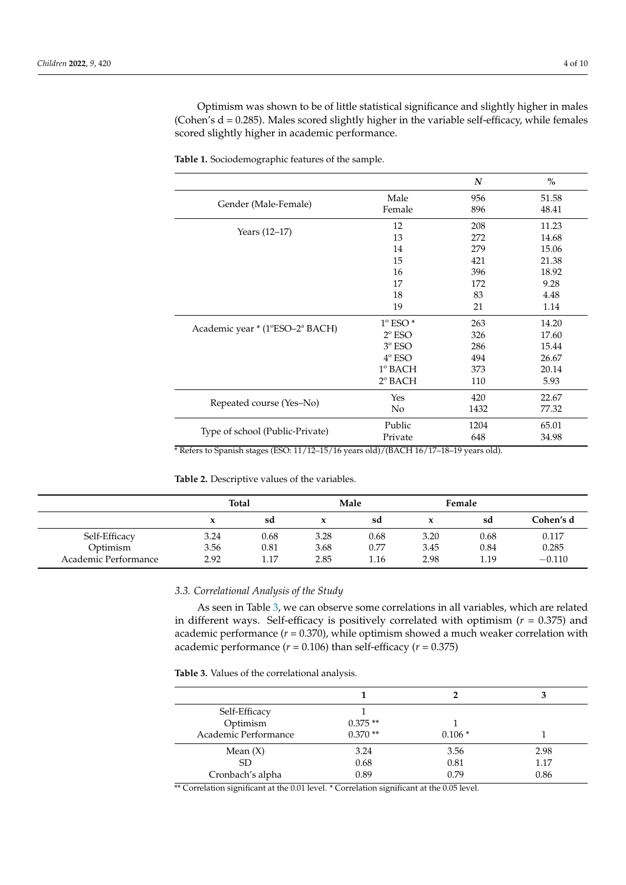Optimism was shown to be of little statistical significance and slightly higher in males (Cohen's  $d = 0.285$ ). Males scored slightly higher in the variable self-efficacy, while females scored slightly higher in academic performance.

|                                                                  |                                                     | $\boldsymbol{N}$ | $\%$  |
|------------------------------------------------------------------|-----------------------------------------------------|------------------|-------|
|                                                                  | Male                                                | 956              | 51.58 |
| Gender (Male-Female)                                             | Female                                              | 896              | 48.41 |
|                                                                  | 12                                                  | 208              | 11.23 |
| Years $(12-17)$                                                  | 13                                                  | 272              | 14.68 |
|                                                                  | 14                                                  | 279              | 15.06 |
|                                                                  | 15                                                  | 421              | 21.38 |
|                                                                  | 16                                                  | 396              | 18.92 |
|                                                                  | 17                                                  | 172              | 9.28  |
|                                                                  | 18                                                  | 83               | 4.48  |
|                                                                  | 19                                                  | 21               | 1.14  |
| Academic year * (1°ESO-2ª BACH)                                  | $1^\circ$ ESO $*$                                   | 263              | 14.20 |
|                                                                  | $2^{\circ}$ ESO                                     | 326              | 17.60 |
|                                                                  | $3^{\rm o}$ ESO                                     | 286              | 15.44 |
|                                                                  | $4^{\circ}$ ESO                                     | 494              | 26.67 |
|                                                                  | $1^\circ$ BACH                                      | 373              | 20.14 |
|                                                                  | 2º BACH                                             | 110              | 5.93  |
| Repeated course (Yes-No)                                         | Yes                                                 | 420              | 22.67 |
|                                                                  | N <sub>o</sub>                                      | 1432             | 77.32 |
| Type of school (Public-Private)                                  | Public                                              | 1204             | 65.01 |
|                                                                  | Private                                             | 648              | 34.98 |
| $\sqrt{2}$<br>(TCO 44/10 45/10)<br>$\cdot$ $\cdot$<br>$\sqrt{2}$ | $1/D$ $1$ $C$ FF $1/$ $1/$ $1/$ $1/$ $1/$ $1/$ $1/$ | 1.11             |       |

<span id="page-3-0"></span>**Table 1.** Sociodemographic features of the sample.

\* Refers to Spanish stages (ESO: 11/12–15/16 years old)/(BACH 16/17–18–19 years old).

<span id="page-3-1"></span>**Table 2.** Descriptive values of the variables.

|                      | <b>Total</b> |      | Male |      | Female |      |           |
|----------------------|--------------|------|------|------|--------|------|-----------|
|                      |              | sd   |      | sd   |        | sd   | Cohen's d |
| Self-Efficacy        | 3.24         | 0.68 | 3.28 | 0.68 | 3.20   | 0.68 | 0.117     |
| Optimism             | 3.56         | 0.81 | 3.68 | 0.77 | 3.45   | 0.84 | 0.285     |
| Academic Performance | 2.92         | 1.17 | 2.85 | 1.16 | 2.98   | 1.19 | $-0.110$  |

# *3.3. Correlational Analysis of the Study*

As seen in Table [3,](#page-3-2) we can observe some correlations in all variables, which are related in different ways. Self-efficacy is positively correlated with optimism (*r* = 0.375) and academic performance  $(r = 0.370)$ , while optimism showed a much weaker correlation with academic performance  $(r = 0.106)$  than self-efficacy  $(r = 0.375)$ 

<span id="page-3-2"></span>**Table 3.** Values of the correlational analysis.

| Self-Efficacy        |           |          |      |
|----------------------|-----------|----------|------|
| Optimism             | $0.375**$ |          |      |
| Academic Performance | $0.370**$ | $0.106*$ |      |
| Mean $(X)$           | 3.24      | 3.56     | 2.98 |
| SD.                  | 0.68      | 0.81     | 1.17 |
| Cronbach's alpha     | 0.89      | 0.79     | 0.86 |
|                      |           |          |      |

\*\* Correlation significant at the 0.01 level. \* Correlation significant at the 0.05 level.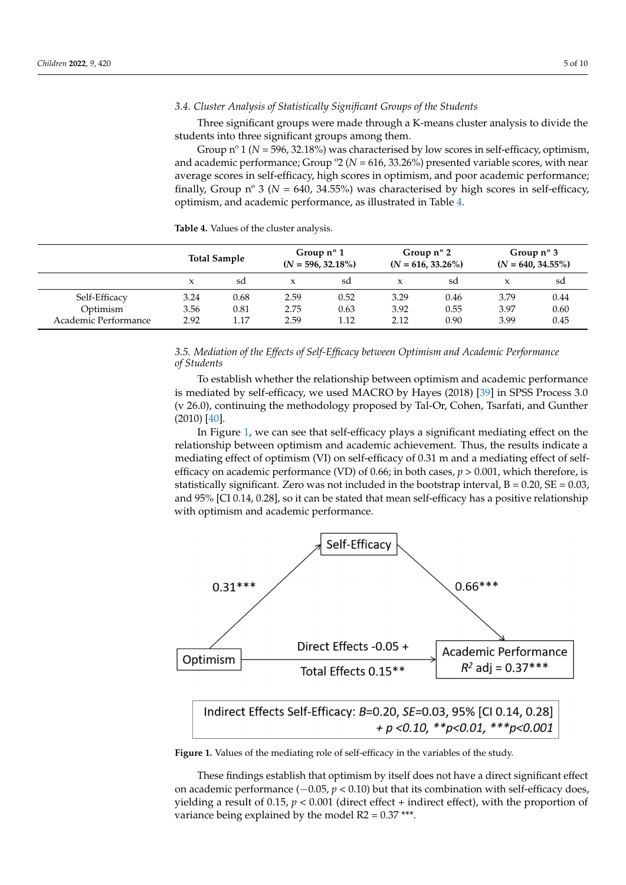#### *3.4. Cluster Analysis of Statistically Significant Groups of the Students*

Three significant groups were made through a K-means cluster analysis to divide the students into three significant groups among them.

Group n<sup>o</sup> 1 (*N* = 596, 32.18%) was characterised by low scores in self-efficacy, optimism, and academic performance; Group º2 (*N* = 616, 33.26%) presented variable scores, with near average scores in self-efficacy, high scores in optimism, and poor academic performance; finally, Group n° 3 ( $N = 640$ , 34.55%) was characterised by high scores in self-efficacy, optimism, and academic performance, as illustrated in Table [4.](#page-4-0)

<span id="page-4-0"></span>**Table 4.** Values of the cluster analysis.

|                      | <b>Total Sample</b> |      | Group $n^{\circ}$ 1<br>$(N = 596, 32.18\%)$ |      | Group $n^{\circ}$ 2<br>$(N = 616, 33.26\%)$ |      | Group $n^{\circ}$ 3<br>$(N = 640, 34.55\%)$ |      |
|----------------------|---------------------|------|---------------------------------------------|------|---------------------------------------------|------|---------------------------------------------|------|
|                      | x                   | sd   | X                                           | sd   |                                             | sd   |                                             | sd   |
| Self-Efficacy        | 3.24                | 0.68 | 2.59                                        | 0.52 | 3.29                                        | 0.46 | 3.79                                        | 0.44 |
| Optimism             | 3.56                | 0.81 | 2.75                                        | 0.63 | 3.92                                        | 0.55 | 3.97                                        | 0.60 |
| Academic Performance | 2.92                | 1.17 | 2.59                                        | 1.12 | 2.12                                        | 0.90 | 3.99                                        | 0.45 |

*3.5. Mediation of the Effects of Self-Efficacy between Optimism and Academic Performance of Students*

To establish whether the relationship between optimism and academic performance is mediated by self-efficacy, we used MACRO by Hayes (2018) [\[39\]](#page-8-7) in SPSS Process 3.0 (v 26.0), continuing the methodology proposed by Tal-Or, Cohen, Tsarfati, and Gunther (2010) [\[40\]](#page-8-8).

In Figure [1,](#page-4-1) we can see that self-efficacy plays a significant mediating effect on the relationship between optimism and academic achievement. Thus, the results indicate a mediating effect of optimism (VI) on self-efficacy of 0.31 m and a mediating effect of selfefficacy on academic performance (VD) of 0.66; in both cases, *p* > 0.001, which therefore, is statistically significant. Zero was not included in the bootstrap interval,  $B = 0.20$ ,  $SE = 0.03$ , and 95% [CI 0.14, 0.28], so it can be stated that mean self-efficacy has a positive relationship with optimism and academic performance.

<span id="page-4-1"></span>

Figure 1. Values of the mediating role of self-efficacy in the variables of the study.

These findings establish that optimism by itself does not have a direct significant effect on academic performance (−0.05, *p* < 0.10) but that its combination with self-efficacy does, yielding a result of  $0.15$ ,  $p < 0.001$  (direct effect + indirect effect), with the proportion of variance being explained by the model  $R2 = 0.37$  \*\*\*.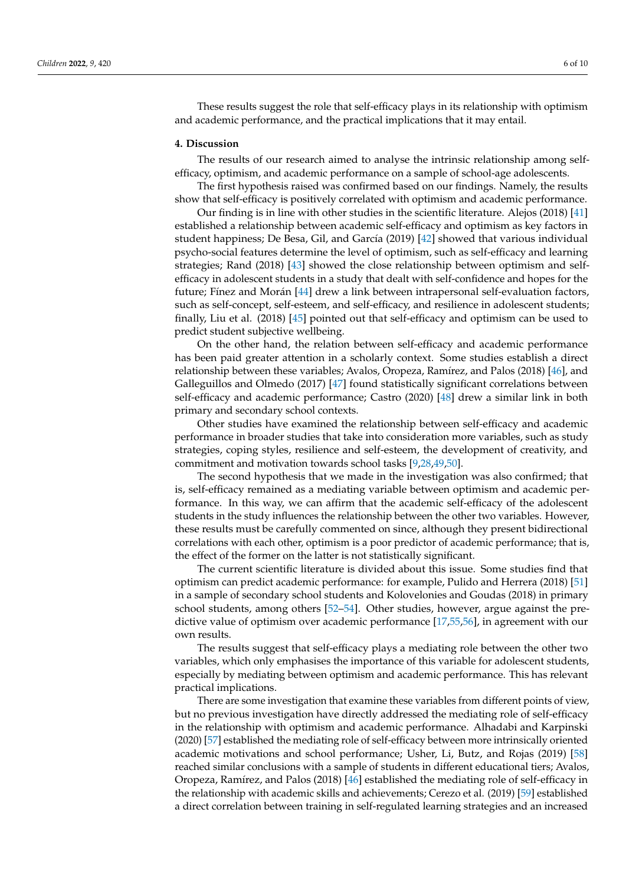These results suggest the role that self-efficacy plays in its relationship with optimism and academic performance, and the practical implications that it may entail.

#### **4. Discussion**

The results of our research aimed to analyse the intrinsic relationship among selfefficacy, optimism, and academic performance on a sample of school-age adolescents.

The first hypothesis raised was confirmed based on our findings. Namely, the results show that self-efficacy is positively correlated with optimism and academic performance.

Our finding is in line with other studies in the scientific literature. Alejos (2018) [\[41\]](#page-8-9) established a relationship between academic self-efficacy and optimism as key factors in student happiness; De Besa, Gil, and García (2019) [\[42\]](#page-8-10) showed that various individual psycho-social features determine the level of optimism, such as self-efficacy and learning strategies; Rand (2018) [\[43\]](#page-8-11) showed the close relationship between optimism and selfefficacy in adolescent students in a study that dealt with self-confidence and hopes for the future; Fínez and Morán [\[44\]](#page-8-12) drew a link between intrapersonal self-evaluation factors, such as self-concept, self-esteem, and self-efficacy, and resilience in adolescent students; finally, Liu et al. (2018) [\[45\]](#page-8-13) pointed out that self-efficacy and optimism can be used to predict student subjective wellbeing.

On the other hand, the relation between self-efficacy and academic performance has been paid greater attention in a scholarly context. Some studies establish a direct relationship between these variables; Avalos, Oropeza, Ramírez, and Palos (2018) [\[46\]](#page-8-14), and Galleguillos and Olmedo (2017) [\[47\]](#page-8-15) found statistically significant correlations between self-efficacy and academic performance; Castro (2020) [\[48\]](#page-8-16) drew a similar link in both primary and secondary school contexts.

Other studies have examined the relationship between self-efficacy and academic performance in broader studies that take into consideration more variables, such as study strategies, coping styles, resilience and self-esteem, the development of creativity, and commitment and motivation towards school tasks [\[9,](#page-7-8)[28,](#page-7-26)[49](#page-8-17)[,50\]](#page-8-18).

The second hypothesis that we made in the investigation was also confirmed; that is, self-efficacy remained as a mediating variable between optimism and academic performance. In this way, we can affirm that the academic self-efficacy of the adolescent students in the study influences the relationship between the other two variables. However, these results must be carefully commented on since, although they present bidirectional correlations with each other, optimism is a poor predictor of academic performance; that is, the effect of the former on the latter is not statistically significant.

The current scientific literature is divided about this issue. Some studies find that optimism can predict academic performance: for example, Pulido and Herrera (2018) [\[51\]](#page-8-19) in a sample of secondary school students and Kolovelonies and Goudas (2018) in primary school students, among others [\[52](#page-8-20)[–54\]](#page-8-21). Other studies, however, argue against the predictive value of optimism over academic performance [\[17](#page-7-16)[,55](#page-8-22)[,56\]](#page-8-23), in agreement with our own results.

The results suggest that self-efficacy plays a mediating role between the other two variables, which only emphasises the importance of this variable for adolescent students, especially by mediating between optimism and academic performance. This has relevant practical implications.

There are some investigation that examine these variables from different points of view, but no previous investigation have directly addressed the mediating role of self-efficacy in the relationship with optimism and academic performance. Alhadabi and Karpinski (2020) [\[57\]](#page-8-24) established the mediating role of self-efficacy between more intrinsically oriented academic motivations and school performance; Usher, Li, Butz, and Rojas (2019) [\[58\]](#page-8-25) reached similar conclusions with a sample of students in different educational tiers; Avalos, Oropeza, Ramírez, and Palos (2018) [\[46\]](#page-8-14) established the mediating role of self-efficacy in the relationship with academic skills and achievements; Cerezo et al. (2019) [\[59\]](#page-8-26) established a direct correlation between training in self-regulated learning strategies and an increased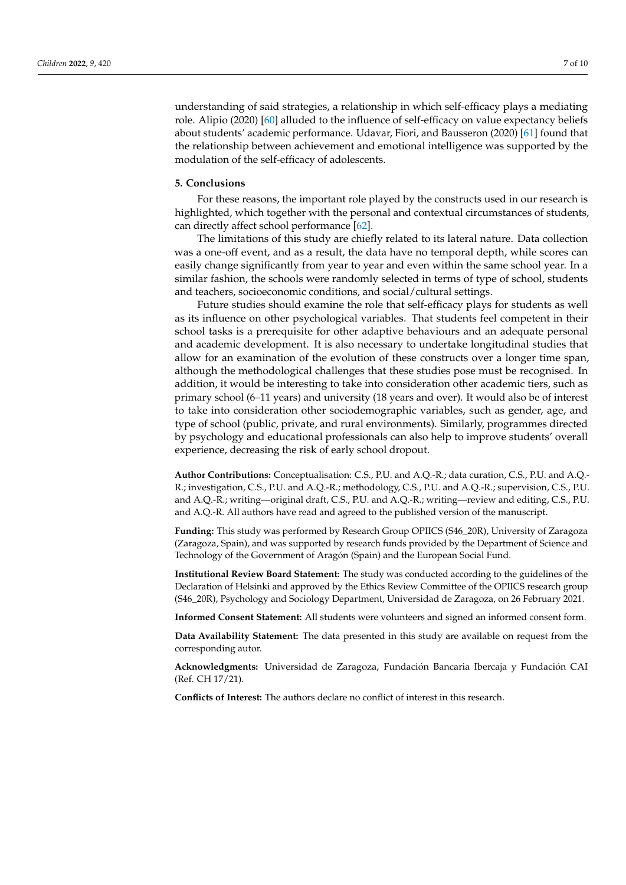understanding of said strategies, a relationship in which self-efficacy plays a mediating role. Alipio (2020) [\[60\]](#page-8-27) alluded to the influence of self-efficacy on value expectancy beliefs about students' academic performance. Udavar, Fiori, and Bausseron (2020) [\[61\]](#page-9-0) found that the relationship between achievement and emotional intelligence was supported by the modulation of the self-efficacy of adolescents.

### **5. Conclusions**

For these reasons, the important role played by the constructs used in our research is highlighted, which together with the personal and contextual circumstances of students, can directly affect school performance [\[62\]](#page-9-1).

The limitations of this study are chiefly related to its lateral nature. Data collection was a one-off event, and as a result, the data have no temporal depth, while scores can easily change significantly from year to year and even within the same school year. In a similar fashion, the schools were randomly selected in terms of type of school, students and teachers, socioeconomic conditions, and social/cultural settings.

Future studies should examine the role that self-efficacy plays for students as well as its influence on other psychological variables. That students feel competent in their school tasks is a prerequisite for other adaptive behaviours and an adequate personal and academic development. It is also necessary to undertake longitudinal studies that allow for an examination of the evolution of these constructs over a longer time span, although the methodological challenges that these studies pose must be recognised. In addition, it would be interesting to take into consideration other academic tiers, such as primary school (6–11 years) and university (18 years and over). It would also be of interest to take into consideration other sociodemographic variables, such as gender, age, and type of school (public, private, and rural environments). Similarly, programmes directed by psychology and educational professionals can also help to improve students' overall experience, decreasing the risk of early school dropout.

**Author Contributions:** Conceptualisation: C.S., P.U. and A.Q.-R.; data curation, C.S., P.U. and A.Q.- R.; investigation, C.S., P.U. and A.Q.-R.; methodology, C.S., P.U. and A.Q.-R.; supervision, C.S., P.U. and A.Q.-R.; writing—original draft, C.S., P.U. and A.Q.-R.; writing—review and editing, C.S., P.U. and A.Q.-R. All authors have read and agreed to the published version of the manuscript.

**Funding:** This study was performed by Research Group OPIICS (S46\_20R), University of Zaragoza (Zaragoza, Spain), and was supported by research funds provided by the Department of Science and Technology of the Government of Aragón (Spain) and the European Social Fund.

**Institutional Review Board Statement:** The study was conducted according to the guidelines of the Declaration of Helsinki and approved by the Ethics Review Committee of the OPIICS research group (S46\_20R), Psychology and Sociology Department, Universidad de Zaragoza, on 26 February 2021.

**Informed Consent Statement:** All students were volunteers and signed an informed consent form.

**Data Availability Statement:** The data presented in this study are available on request from the corresponding autor.

**Acknowledgments:** Universidad de Zaragoza, Fundación Bancaria Ibercaja y Fundación CAI (Ref. CH 17/21).

**Conflicts of Interest:** The authors declare no conflict of interest in this research.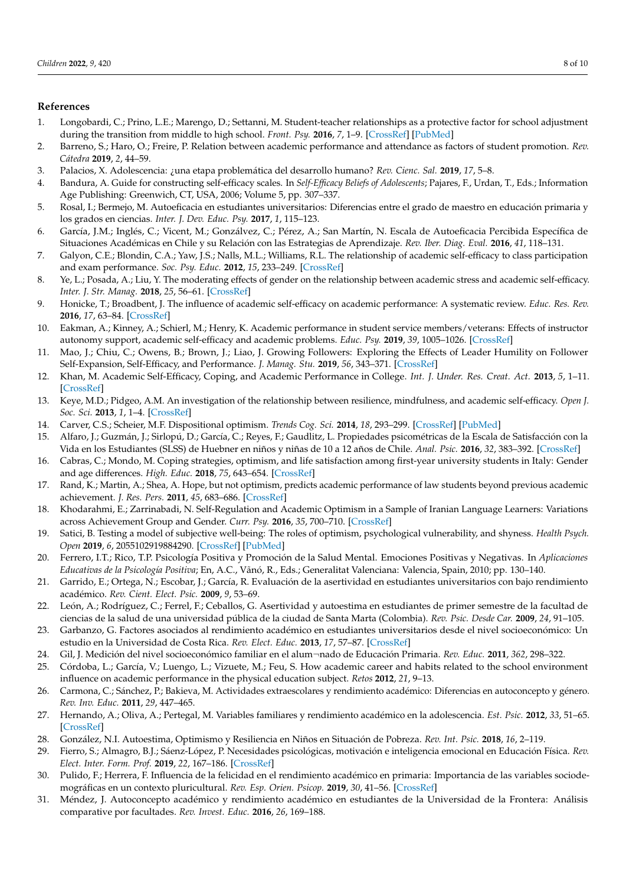# **References**

- <span id="page-7-0"></span>1. Longobardi, C.; Prino, L.E.; Marengo, D.; Settanni, M. Student-teacher relationships as a protective factor for school adjustment during the transition from middle to high school. *Front. Psy.* **2016**, *7*, 1–9. [\[CrossRef\]](http://doi.org/10.3389/fpsyg.2016.01988) [\[PubMed\]](http://www.ncbi.nlm.nih.gov/pubmed/28066305)
- <span id="page-7-1"></span>2. Barreno, S.; Haro, O.; Freire, P. Relation between academic performance and attendance as factors of student promotion. *Rev. Cátedra* **2019**, *2*, 44–59.
- <span id="page-7-2"></span>3. Palacios, X. Adolescencia: ¿una etapa problemática del desarrollo humano? *Rev. Cienc. Sal.* **2019**, *17*, 5–8.
- <span id="page-7-3"></span>4. Bandura, A. Guide for constructing self-efficacy scales. In *Self-Efficacy Beliefs of Adolescents*; Pajares, F., Urdan, T., Eds.; Information Age Publishing: Greenwich, CT, USA, 2006; Volume 5, pp. 307–337.
- <span id="page-7-4"></span>5. Rosal, I.; Bermejo, M. Autoeficacia en estudiantes universitarios: Diferencias entre el grado de maestro en educación primaria y los grados en ciencias. *Inter. J. Dev. Educ. Psy.* **2017**, *1*, 115–123.
- <span id="page-7-5"></span>6. García, J.M.; Inglés, C.; Vicent, M.; Gonzálvez, C.; Pérez, A.; San Martín, N. Escala de Autoeficacia Percibida Específica de Situaciones Académicas en Chile y su Relación con las Estrategias de Aprendizaje. *Rev. Iber. Diag. Eval.* **2016**, *41*, 118–131.
- <span id="page-7-6"></span>7. Galyon, C.E.; Blondin, C.A.; Yaw, J.S.; Nalls, M.L.; Williams, R.L. The relationship of academic self-efficacy to class participation and exam performance. *Soc. Psy. Educ.* **2012**, *15*, 233–249. [\[CrossRef\]](http://doi.org/10.1007/s11218-011-9175-x)
- <span id="page-7-7"></span>8. Ye, L.; Posada, A.; Liu, Y. The moderating effects of gender on the relationship between academic stress and academic self-efficacy. *Inter. J. Str. Manag.* **2018**, *25*, 56–61. [\[CrossRef\]](http://doi.org/10.1037/str0000089)
- <span id="page-7-8"></span>9. Honicke, T.; Broadbent, J. The influence of academic self-efficacy on academic performance: A systematic review. *Educ. Res. Rev.* **2016**, *17*, 63–84. [\[CrossRef\]](http://doi.org/10.1016/j.edurev.2015.11.002)
- <span id="page-7-9"></span>10. Eakman, A.; Kinney, A.; Schierl, M.; Henry, K. Academic performance in student service members/veterans: Effects of instructor autonomy support, academic self-efficacy and academic problems. *Educ. Psy.* **2019**, *39*, 1005–1026. [\[CrossRef\]](http://doi.org/10.1080/01443410.2019.1605048)
- <span id="page-7-10"></span>11. Mao, J.; Chiu, C.; Owens, B.; Brown, J.; Liao, J. Growing Followers: Exploring the Effects of Leader Humility on Follower Self-Expansion, Self-Efficacy, and Performance. *J. Manag. Stu.* **2019**, *56*, 343–371. [\[CrossRef\]](http://doi.org/10.1111/joms.12395)
- <span id="page-7-11"></span>12. Khan, M. Academic Self-Efficacy, Coping, and Academic Performance in College. *Int. J. Under. Res. Creat. Act.* **2013**, *5*, 1–11. [\[CrossRef\]](http://doi.org/10.7710/2168-0620.1006)
- <span id="page-7-12"></span>13. Keye, M.D.; Pidgeo, A.M. An investigation of the relationship between resilience, mindfulness, and academic self-efficacy. *Open J. Soc. Sci.* **2013**, *1*, 1–4. [\[CrossRef\]](http://doi.org/10.4236/jss.2013.16001)
- <span id="page-7-13"></span>14. Carver, C.S.; Scheier, M.F. Dispositional optimism. *Trends Cog. Sci.* **2014**, *18*, 293–299. [\[CrossRef\]](http://doi.org/10.1016/j.tics.2014.02.003) [\[PubMed\]](http://www.ncbi.nlm.nih.gov/pubmed/24630971)
- <span id="page-7-14"></span>15. Alfaro, J.; Guzmán, J.; Sirlopú, D.; García, C.; Reyes, F.; Gaudlitz, L. Propiedades psicométricas de la Escala de Satisfacción con la Vida en los Estudiantes (SLSS) de Huebner en niños y niñas de 10 a 12 años de Chile. *Anal. Psic.* **2016**, *32*, 383–392. [\[CrossRef\]](http://doi.org/10.6018/analesps.32.2.217441)
- <span id="page-7-15"></span>16. Cabras, C.; Mondo, M. Coping strategies, optimism, and life satisfaction among first-year university students in Italy: Gender and age differences. *High. Educ.* **2018**, *75*, 643–654. [\[CrossRef\]](http://doi.org/10.1007/s10734-017-0161-x)
- <span id="page-7-16"></span>17. Rand, K.; Martin, A.; Shea, A. Hope, but not optimism, predicts academic performance of law students beyond previous academic achievement. *J. Res. Pers.* **2011**, *45*, 683–686. [\[CrossRef\]](http://doi.org/10.1016/j.jrp.2011.08.004)
- <span id="page-7-17"></span>18. Khodarahmi, E.; Zarrinabadi, N. Self-Regulation and Academic Optimism in a Sample of Iranian Language Learners: Variations across Achievement Group and Gender. *Curr. Psy.* **2016**, *35*, 700–710. [\[CrossRef\]](http://doi.org/10.1007/s12144-015-9340-z)
- <span id="page-7-18"></span>19. Satici, B. Testing a model of subjective well-being: The roles of optimism, psychological vulnerability, and shyness. *Health Psych. Open* **2019**, *6*, 2055102919884290. [\[CrossRef\]](http://doi.org/10.1177/2055102919884290) [\[PubMed\]](http://www.ncbi.nlm.nih.gov/pubmed/31666980)
- <span id="page-7-19"></span>20. Ferrero, I.T.; Rico, T.P. Psicología Positiva y Promoción de la Salud Mental. Emociones Positivas y Negativas. In *Aplicaciones Educativas de la Psicología Positiva*; En, A.C., Vãnó, R., Eds.; Generalitat Valenciana: Valencia, Spain, 2010; pp. 130–140.
- 21. Garrido, E.; Ortega, N.; Escobar, J.; García, R. Evaluación de la asertividad en estudiantes universitarios con bajo rendimiento académico. *Rev. Cient. Elect. Psic.* **2009**, *9*, 53–69.
- <span id="page-7-20"></span>22. León, A.; Rodríguez, C.; Ferrel, F.; Ceballos, G. Asertividad y autoestima en estudiantes de primer semestre de la facultad de ciencias de la salud de una universidad pública de la ciudad de Santa Marta (Colombia). *Rev. Psic. Desde Car.* **2009**, *24*, 91–105.
- <span id="page-7-21"></span>23. Garbanzo, G. Factores asociados al rendimiento académico en estudiantes universitarios desde el nivel socioeconómico: Un estudio en la Universidad de Costa Rica. *Rev. Elect. Educ.* **2013**, *17*, 57–87. [\[CrossRef\]](http://doi.org/10.15359/ree.17-3.4)
- <span id="page-7-22"></span>24. Gil, J. Medición del nivel socioeconómico familiar en el alum¬nado de Educación Primaria. *Rev. Educ.* **2011**, *362*, 298–322.
- <span id="page-7-23"></span>25. Córdoba, L.; García, V.; Luengo, L.; Vizuete, M.; Feu, S. How academic career and habits related to the school environment influence on academic performance in the physical education subject. *Retos* **2012**, *21*, 9–13.
- <span id="page-7-24"></span>26. Carmona, C.; Sánchez, P.; Bakieva, M. Actividades extraescolares y rendimiento académico: Diferencias en autoconcepto y género. *Rev. Inv. Educ.* **2011**, *29*, 447–465.
- <span id="page-7-25"></span>27. Hernando, A.; Oliva, A.; Pertegal, M. Variables familiares y rendimiento académico en la adolescencia. *Est. Psic.* **2012**, *33*, 51–65. [\[CrossRef\]](http://doi.org/10.1174/021093912799803791)
- <span id="page-7-26"></span>28. González, N.I. Autoestima, Optimismo y Resiliencia en Niños en Situación de Pobreza. *Rev. Int. Psic.* **2018**, *16*, 2–119.
- <span id="page-7-27"></span>29. Fierro, S.; Almagro, B.J.; Sáenz-López, P. Necesidades psicológicas, motivación e inteligencia emocional en Educación Física. *Rev. Elect. Inter. Form. Prof.* **2019**, *22*, 167–186. [\[CrossRef\]](http://doi.org/10.6018/reifop.22.2.345241)
- <span id="page-7-28"></span>30. Pulido, F.; Herrera, F. Influencia de la felicidad en el rendimiento académico en primaria: Importancia de las variables sociodemográficas en un contexto pluricultural. *Rev. Esp. Orien. Psicop.* **2019**, *30*, 41–56. [\[CrossRef\]](http://doi.org/10.5944/reop.vol.30.num.1.2019.25193)
- <span id="page-7-29"></span>31. Méndez, J. Autoconcepto académico y rendimiento académico en estudiantes de la Universidad de la Frontera: Análisis comparative por facultades. *Rev. Invest. Educ.* **2016**, *26*, 169–188.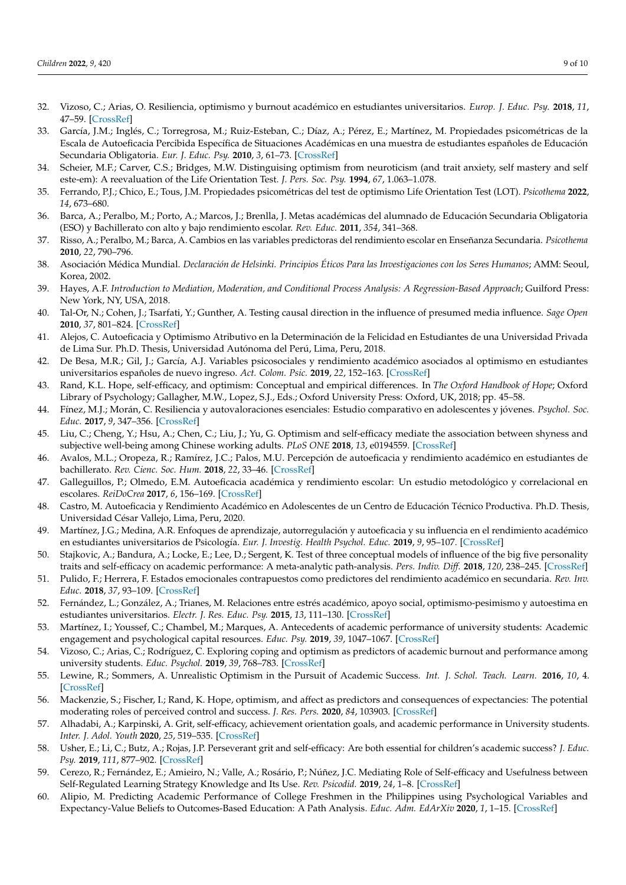- <span id="page-8-0"></span>32. Vizoso, C.; Arias, O. Resiliencia, optimismo y burnout académico en estudiantes universitarios. *Europ. J. Educ. Psy.* **2018**, *11*, 47–59. [\[CrossRef\]](http://doi.org/10.30552/ejep.v11i1.185)
- <span id="page-8-1"></span>33. García, J.M.; Inglés, C.; Torregrosa, M.; Ruiz-Esteban, C.; Díaz, A.; Pérez, E.; Martínez, M. Propiedades psicométricas de la Escala de Autoeficacia Percibida Específica de Situaciones Académicas en una muestra de estudiantes españoles de Educación Secundaria Obligatoria. *Eur. J. Educ. Psy.* **2010**, *3*, 61–73. [\[CrossRef\]](http://doi.org/10.30552/ejep.v3i1.51)
- <span id="page-8-2"></span>34. Scheier, M.F.; Carver, C.S.; Bridges, M.W. Distinguising optimism from neuroticism (and trait anxiety, self mastery and self este-em): A reevaluation of the Life Orientation Test. *J. Pers. Soc. Psy.* **1994**, *67*, 1.063–1.078.
- <span id="page-8-3"></span>35. Ferrando, P.J.; Chico, E.; Tous, J.M. Propiedades psicométricas del test de optimismo Life Orientation Test (LOT). *Psicothema* **2022**, *14*, 673–680.
- <span id="page-8-4"></span>36. Barca, A.; Peralbo, M.; Porto, A.; Marcos, J.; Brenlla, J. Metas académicas del alumnado de Educación Secundaria Obligatoria (ESO) y Bachillerato con alto y bajo rendimiento escolar. *Rev. Educ.* **2011**, *354*, 341–368.
- <span id="page-8-5"></span>37. Risso, A.; Peralbo, M.; Barca, A. Cambios en las variables predictoras del rendimiento escolar en Enseñanza Secundaria. *Psicothema* **2010**, *22*, 790–796.
- <span id="page-8-6"></span>38. Asociación Médica Mundial. *Declaración de Helsinki. Principios Éticos Para las Investigaciones con los Seres Humanos*; AMM: Seoul, Korea, 2002.
- <span id="page-8-7"></span>39. Hayes, A.F. *Introduction to Mediation, Moderation, and Conditional Process Analysis: A Regression-Based Approach*; Guilford Press: New York, NY, USA, 2018.
- <span id="page-8-8"></span>40. Tal-Or, N.; Cohen, J.; Tsarfati, Y.; Gunther, A. Testing causal direction in the influence of presumed media influence. *Sage Open* **2010**, *37*, 801–824. [\[CrossRef\]](http://doi.org/10.1177/0093650210362684)
- <span id="page-8-9"></span>41. Alejos, C. Autoeficacia y Optimismo Atributivo en la Determinación de la Felicidad en Estudiantes de una Universidad Privada de Lima Sur. Ph.D. Thesis, Universidad Autónoma del Perú, Lima, Peru, 2018.
- <span id="page-8-10"></span>42. De Besa, M.R.; Gil, J.; García, A.J. Variables psicosociales y rendimiento académico asociados al optimismo en estudiantes universitarios españoles de nuevo ingreso. *Act. Colom. Psic.* **2019**, *22*, 152–163. [\[CrossRef\]](http://doi.org/10.14718/ACP.2019.22.1.8)
- <span id="page-8-11"></span>43. Rand, K.L. Hope, self-efficacy, and optimism: Conceptual and empirical differences. In *The Oxford Handbook of Hope*; Oxford Library of Psychology; Gallagher, M.W., Lopez, S.J., Eds.; Oxford University Press: Oxford, UK, 2018; pp. 45–58.
- <span id="page-8-12"></span>44. Fínez, M.J.; Morán, C. Resiliencia y autovaloraciones esenciales: Estudio comparativo en adolescentes y jóvenes. *Psychol. Soc. Educ.* **2017**, *9*, 347–356. [\[CrossRef\]](http://doi.org/10.25115/psye.v9i3.857)
- <span id="page-8-13"></span>45. Liu, C.; Cheng, Y.; Hsu, A.; Chen, C.; Liu, J.; Yu, G. Optimism and self-efficacy mediate the association between shyness and subjective well-being among Chinese working adults. *PLoS ONE* **2018**, *13*, e0194559. [\[CrossRef\]](http://doi.org/10.1371/journal.pone.0194559)
- <span id="page-8-14"></span>46. Avalos, M.L.; Oropeza, R.; Ramírez, J.C.; Palos, M.U. Percepción de autoeficacia y rendimiento académico en estudiantes de bachillerato. *Rev. Cienc. Soc. Hum.* **2018**, *22*, 33–46. [\[CrossRef\]](http://doi.org/10.33064/39crscsh1323)
- <span id="page-8-15"></span>47. Galleguillos, P.; Olmedo, E.M. Autoeficacia académica y rendimiento escolar: Un estudio metodológico y correlacional en escolares. *ReiDoCrea* **2017**, *6*, 156–169. [\[CrossRef\]](http://doi.org/10.30827/Digibug.45469)
- <span id="page-8-16"></span>48. Castro, M. Autoeficacia y Rendimiento Académico en Adolescentes de un Centro de Educación Técnico Productiva. Ph.D. Thesis, Universidad César Vallejo, Lima, Peru, 2020.
- <span id="page-8-17"></span>49. Martínez, J.G.; Medina, A.R. Enfoques de aprendizaje, autorregulación y autoeficacia y su influencia en el rendimiento académico en estudiantes universitarios de Psicología. *Eur. J. Investig. Health Psychol. Educ.* **2019**, *9*, 95–107. [\[CrossRef\]](http://doi.org/10.30552/ejihpe.v9i2.323)
- <span id="page-8-18"></span>50. Stajkovic, A.; Bandura, A.; Locke, E.; Lee, D.; Sergent, K. Test of three conceptual models of influence of the big five personality traits and self-efficacy on academic performance: A meta-analytic path-analysis. *Pers. Indiv. Diff.* **2018**, *120*, 238–245. [\[CrossRef\]](http://doi.org/10.1016/j.paid.2017.08.014)
- <span id="page-8-19"></span>51. Pulido, F.; Herrera, F. Estados emocionales contrapuestos como predictores del rendimiento académico en secundaria. *Rev. Inv. Educ.* **2018**, *37*, 93–109. [\[CrossRef\]](http://doi.org/10.6018/rie.37.1.289821)
- <span id="page-8-20"></span>52. Fernández, L.; González, A.; Trianes, M. Relaciones entre estrés académico, apoyo social, optimismo-pesimismo y autoestima en estudiantes universitarios. *Electr. J. Res. Educ. Psy.* **2015**, *13*, 111–130. [\[CrossRef\]](http://doi.org/10.14204/ejrep.35.14053)
- 53. Martínez, I.; Youssef, C.; Chambel, M.; Marques, A. Antecedents of academic performance of university students: Academic engagement and psychological capital resources. *Educ. Psy.* **2019**, *39*, 1047–1067. [\[CrossRef\]](http://doi.org/10.1080/01443410.2019.1623382)
- <span id="page-8-21"></span>54. Vizoso, C.; Arias, C.; Rodríguez, C. Exploring coping and optimism as predictors of academic burnout and performance among university students. *Educ. Psychol.* **2019**, *39*, 768–783. [\[CrossRef\]](http://doi.org/10.1080/01443410.2018.1545996)
- <span id="page-8-22"></span>55. Lewine, R.; Sommers, A. Unrealistic Optimism in the Pursuit of Academic Success. *Int. J. Schol. Teach. Learn.* **2016**, *10*, 4. [\[CrossRef\]](http://doi.org/10.20429/ijsotl.2016.100204)
- <span id="page-8-23"></span>56. Mackenzie, S.; Fischer, I.; Rand, K. Hope, optimism, and affect as predictors and consequences of expectancies: The potential moderating roles of perceived control and success. *J. Res. Pers.* **2020**, *84*, 103903. [\[CrossRef\]](http://doi.org/10.1016/j.jrp.2019.103903)
- <span id="page-8-24"></span>57. Alhadabi, A.; Karpinski, A. Grit, self-efficacy, achievement orientation goals, and academic performance in University students. *Inter. J. Adol. Youth* **2020**, *25*, 519–535. [\[CrossRef\]](http://doi.org/10.1080/02673843.2019.1679202)
- <span id="page-8-25"></span>58. Usher, E.; Li, C.; Butz, A.; Rojas, J.P. Perseverant grit and self-efficacy: Are both essential for children's academic success? *J. Educ. Psy.* **2019**, *111*, 877–902. [\[CrossRef\]](http://doi.org/10.1037/edu0000324)
- <span id="page-8-26"></span>59. Cerezo, R.; Fernández, E.; Amieiro, N.; Valle, A.; Rosário, P.; Núñez, J.C. Mediating Role of Self-efficacy and Usefulness between Self-Regulated Learning Strategy Knowledge and Its Use. *Rev. Psicodid.* **2019**, *24*, 1–8. [\[CrossRef\]](http://doi.org/10.1016/j.psicod.2018.08.001)
- <span id="page-8-27"></span>60. Alipio, M. Predicting Academic Performance of College Freshmen in the Philippines using Psychological Variables and Expectancy-Value Beliefs to Outcomes-Based Education: A Path Analysis. *Educ. Adm. EdArXiv* **2020**, *1*, 1–15. [\[CrossRef\]](http://doi.org/10.35542/osf.io/pra6z)